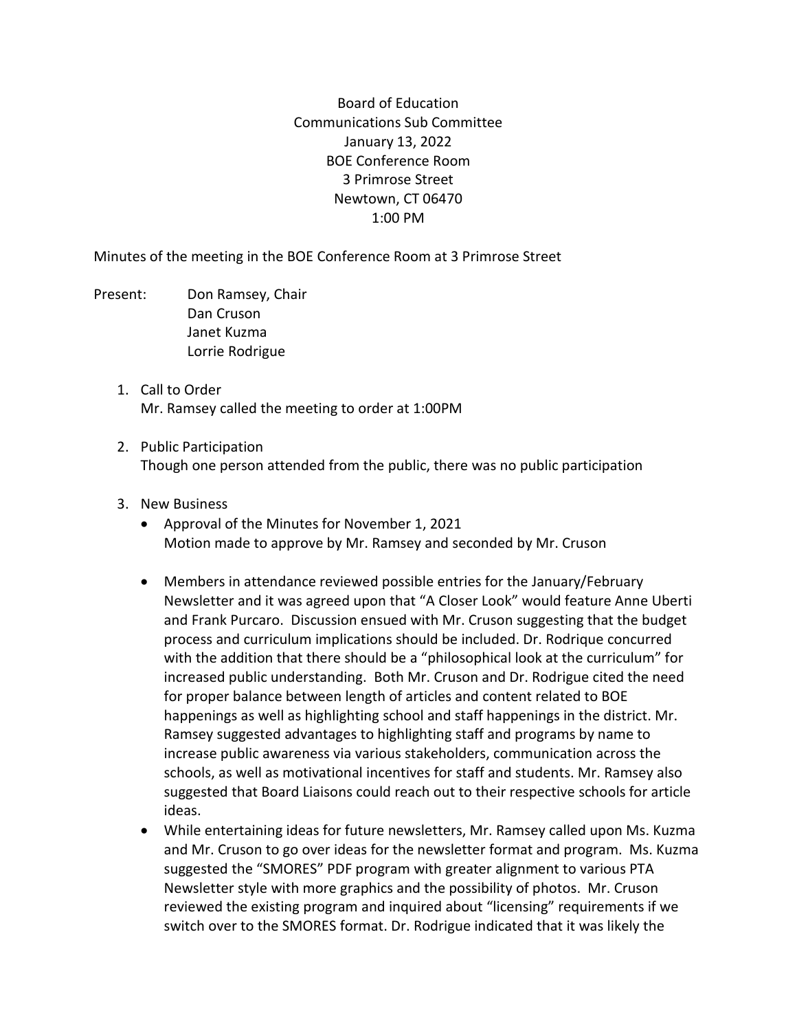Board of Education Communications Sub Committee January 13, 2022 BOE Conference Room 3 Primrose Street Newtown, CT 06470 1:00 PM

Minutes of the meeting in the BOE Conference Room at 3 Primrose Street

- Present: Don Ramsey, Chair Dan Cruson Janet Kuzma Lorrie Rodrigue
	- 1. Call to Order Mr. Ramsey called the meeting to order at 1:00PM
	- 2. Public Participation Though one person attended from the public, there was no public participation
	- 3. New Business
		- Approval of the Minutes for November 1, 2021 Motion made to approve by Mr. Ramsey and seconded by Mr. Cruson
		- Members in attendance reviewed possible entries for the January/February Newsletter and it was agreed upon that "A Closer Look" would feature Anne Uberti and Frank Purcaro. Discussion ensued with Mr. Cruson suggesting that the budget process and curriculum implications should be included. Dr. Rodrique concurred with the addition that there should be a "philosophical look at the curriculum" for increased public understanding. Both Mr. Cruson and Dr. Rodrigue cited the need for proper balance between length of articles and content related to BOE happenings as well as highlighting school and staff happenings in the district. Mr. Ramsey suggested advantages to highlighting staff and programs by name to increase public awareness via various stakeholders, communication across the schools, as well as motivational incentives for staff and students. Mr. Ramsey also suggested that Board Liaisons could reach out to their respective schools for article ideas.
		- While entertaining ideas for future newsletters, Mr. Ramsey called upon Ms. Kuzma and Mr. Cruson to go over ideas for the newsletter format and program. Ms. Kuzma suggested the "SMORES" PDF program with greater alignment to various PTA Newsletter style with more graphics and the possibility of photos. Mr. Cruson reviewed the existing program and inquired about "licensing" requirements if we switch over to the SMORES format. Dr. Rodrigue indicated that it was likely the